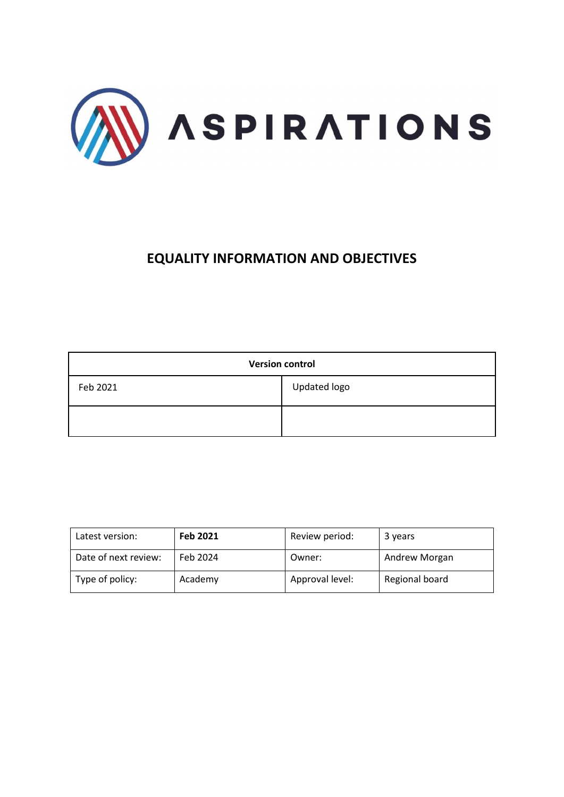

# **EQUALITY INFORMATION AND OBJECTIVES**

| <b>Version control</b> |              |  |
|------------------------|--------------|--|
| Feb 2021               | Updated logo |  |
|                        |              |  |

| Latest version:      | Feb 2021 | Review period:  | 3 years        |
|----------------------|----------|-----------------|----------------|
| Date of next review: | Feb 2024 | Owner:          | Andrew Morgan  |
| Type of policy:      | Academy  | Approval level: | Regional board |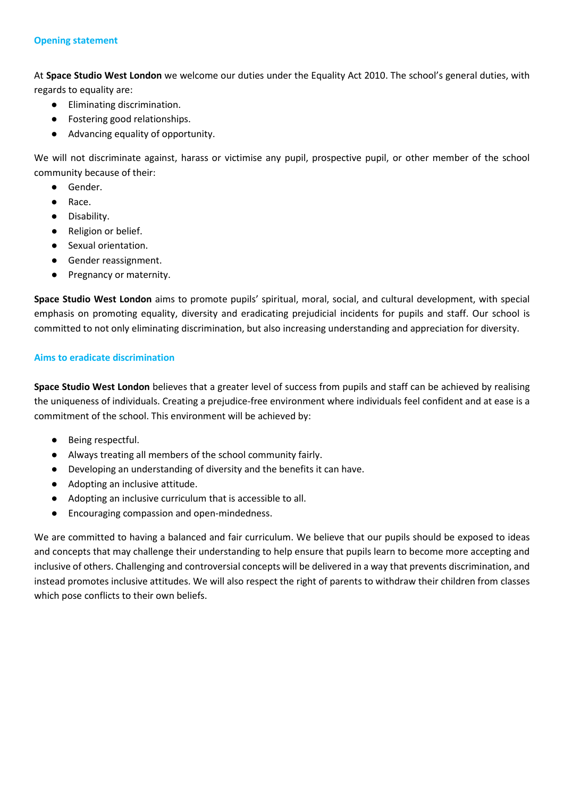#### **Opening statement**

At **Space Studio West London** we welcome our duties under the Equality Act 2010. The school's general duties, with regards to equality are:

- Eliminating discrimination.
- Fostering good relationships.
- Advancing equality of opportunity.

We will not discriminate against, harass or victimise any pupil, prospective pupil, or other member of the school community because of their:

- Gender.
- Race.
- Disability.
- Religion or belief.
- Sexual orientation.
- Gender reassignment.
- Pregnancy or maternity.

**Space Studio West London** aims to promote pupils' spiritual, moral, social, and cultural development, with special emphasis on promoting equality, diversity and eradicating prejudicial incidents for pupils and staff. Our school is committed to not only eliminating discrimination, but also increasing understanding and appreciation for diversity.

## **Aims to eradicate discrimination**

**Space Studio West London** believes that a greater level of success from pupils and staff can be achieved by realising the uniqueness of individuals. Creating a prejudice-free environment where individuals feel confident and at ease is a commitment of the school. This environment will be achieved by:

- Being respectful.
- Always treating all members of the school community fairly.
- Developing an understanding of diversity and the benefits it can have.
- Adopting an inclusive attitude.
- Adopting an inclusive curriculum that is accessible to all.
- Encouraging compassion and open-mindedness.

We are committed to having a balanced and fair curriculum. We believe that our pupils should be exposed to ideas and concepts that may challenge their understanding to help ensure that pupils learn to become more accepting and inclusive of others. Challenging and controversial concepts will be delivered in a way that prevents discrimination, and instead promotes inclusive attitudes. We will also respect the right of parents to withdraw their children from classes which pose conflicts to their own beliefs.